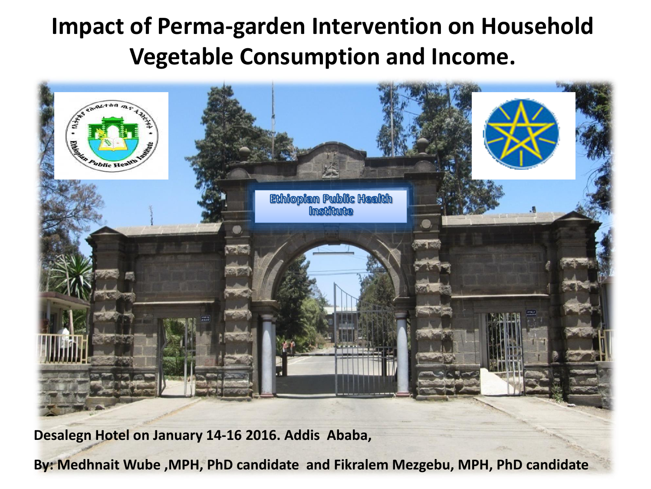#### **Impact of Perma-garden Intervention on Household Vegetable Consumption and Income.**



**Desalegn Hotel on January 14-16 2016. Addis Ababa,** 

**By: Medhnait Wube ,MPH, PhD candidate and Fikralem Mezgebu, MPH, PhD candidate**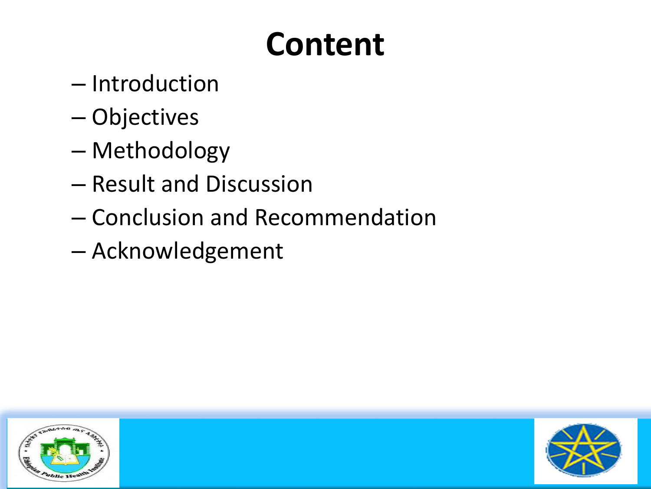### **Content**

- Introduction
- Objectives
- Methodology
- Result and Discussion
- Conclusion and Recommendation
- Acknowledgement



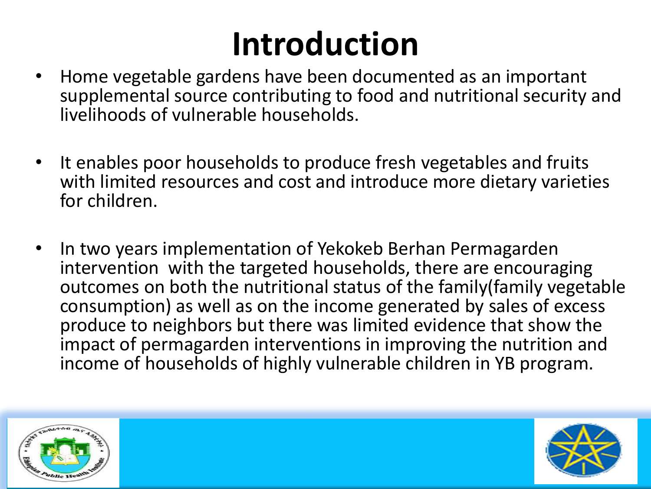## **Introduction**

- Home vegetable gardens have been documented as an important supplemental source contributing to food and nutritional security and livelihoods of vulnerable households.
- It enables poor households to produce fresh vegetables and fruits with limited resources and cost and introduce more dietary varieties for children.
- In two years implementation of Yekokeb Berhan Permagarden intervention with the targeted households, there are encouraging outcomes on both the nutritional status of the family(family vegetable consumption) as well as on the income generated by sales of excess produce to neighbors but there was limited evidence that show the impact of permagarden interventions in improving the nutrition and income of households of highly vulnerable children in YB program.



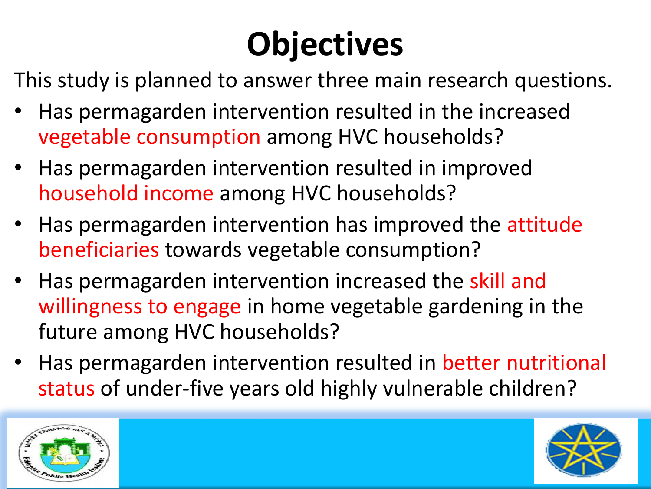## **Objectives**

This study is planned to answer three main research questions.

- Has permagarden intervention resulted in the increased vegetable consumption among HVC households?
- Has permagarden intervention resulted in improved household income among HVC households?
- Has permagarden intervention has improved the attitude beneficiaries towards vegetable consumption?
- Has permagarden intervention increased the skill and willingness to engage in home vegetable gardening in the future among HVC households?
- Has permagarden intervention resulted in better nutritional status of under-five years old highly vulnerable children?



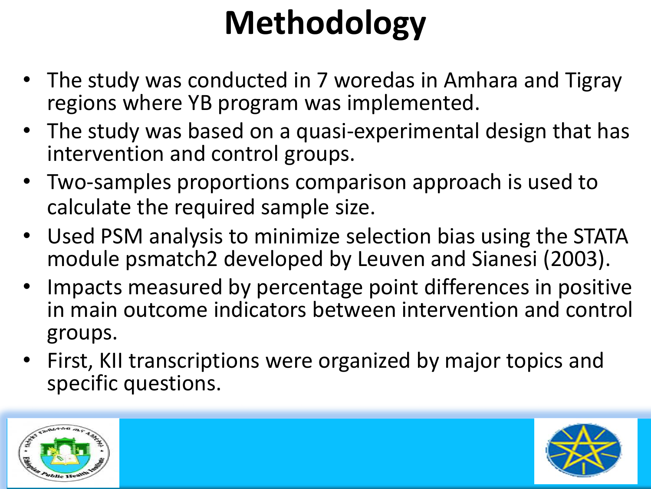# **Methodology**

- The study was conducted in 7 woredas in Amhara and Tigray regions where YB program was implemented.
- The study was based on a quasi-experimental design that has intervention and control groups.
- Two-samples proportions comparison approach is used to calculate the required sample size.
- Used PSM analysis to minimize selection bias using the STATA module psmatch2 developed by Leuven and Sianesi (2003).
- Impacts measured by percentage point differences in positive in main outcome indicators between intervention and control groups.
- First, KII transcriptions were organized by major topics and specific questions.



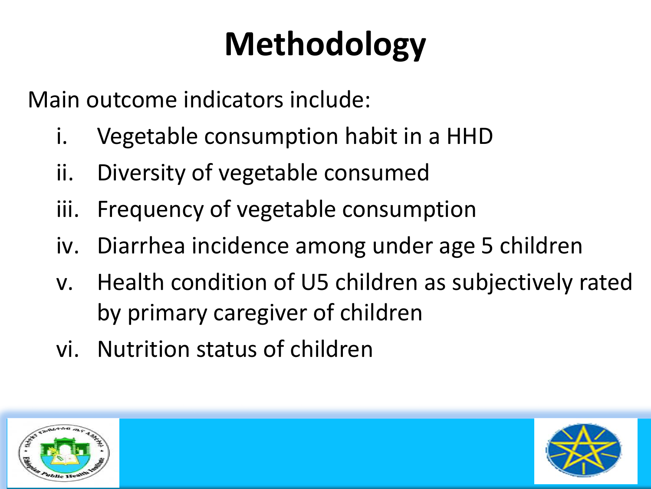# **Methodology**

Main outcome indicators include:

- i. Vegetable consumption habit in a HHD
- ii. Diversity of vegetable consumed
- iii. Frequency of vegetable consumption
- iv. Diarrhea incidence among under age 5 children
- v. Health condition of U5 children as subjectively rated by primary caregiver of children
- vi. Nutrition status of children



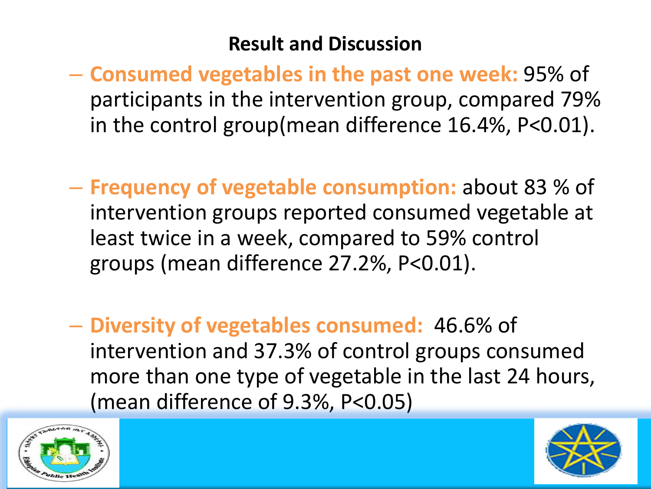#### **Result and Discussion**

- **Consumed vegetables in the past one week:** 95% of participants in the intervention group, compared 79% in the control group(mean difference 16.4%, P<0.01).
- **Frequency of vegetable consumption:** about 83 % of intervention groups reported consumed vegetable at least twice in a week, compared to 59% control groups (mean difference 27.2%, P<0.01).
- **Diversity of vegetables consumed:** 46.6% of intervention and 37.3% of control groups consumed more than one type of vegetable in the last 24 hours, (mean difference of 9.3%, P<0.05)



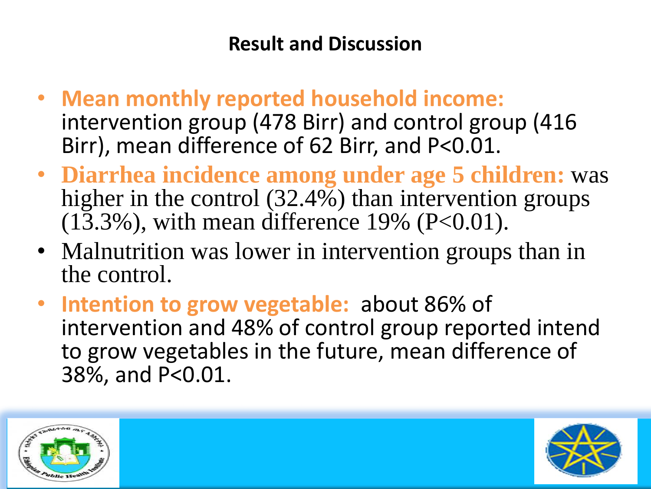#### **Result and Discussion**

- **Mean monthly reported household income:**  intervention group (478 Birr) and control group (416 Birr), mean difference of 62 Birr, and P<0.01.
- **Diarrhea incidence among under age 5 children:** was higher in the control (32.4%) than intervention groups  $(13.3\%)$ , with mean difference 19% (P<0.01).
- Malnutrition was lower in intervention groups than in the control.
- **Intention to grow vegetable:** about 86% of intervention and 48% of control group reported intend to grow vegetables in the future, mean difference of 38%, and P<0.01.



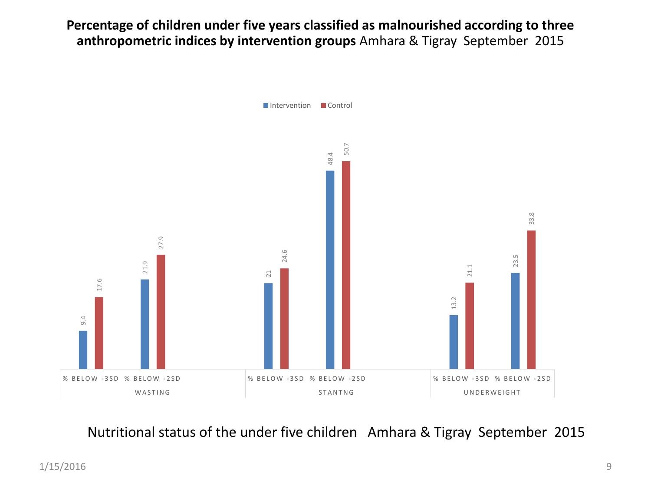**Percentage of children under five years classified as malnourished according to three anthropometric indices by intervention groups** Amhara & Tigray September 2015



Nutritional status of the under five children Amhara & Tigray September 2015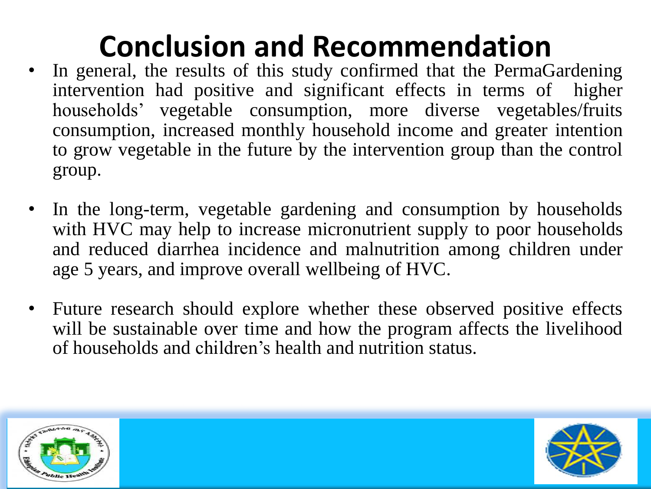### **Conclusion and Recommendation**

- In general, the results of this study confirmed that the PermaGardening intervention had positive and significant effects in terms of higher households' vegetable consumption, more diverse vegetables/fruits consumption, increased monthly household income and greater intention to grow vegetable in the future by the intervention group than the control group.
- In the long-term, vegetable gardening and consumption by households with HVC may help to increase micronutrient supply to poor households and reduced diarrhea incidence and malnutrition among children under age 5 years, and improve overall wellbeing of HVC.
- Future research should explore whether these observed positive effects will be sustainable over time and how the program affects the livelihood of households and children's health and nutrition status.